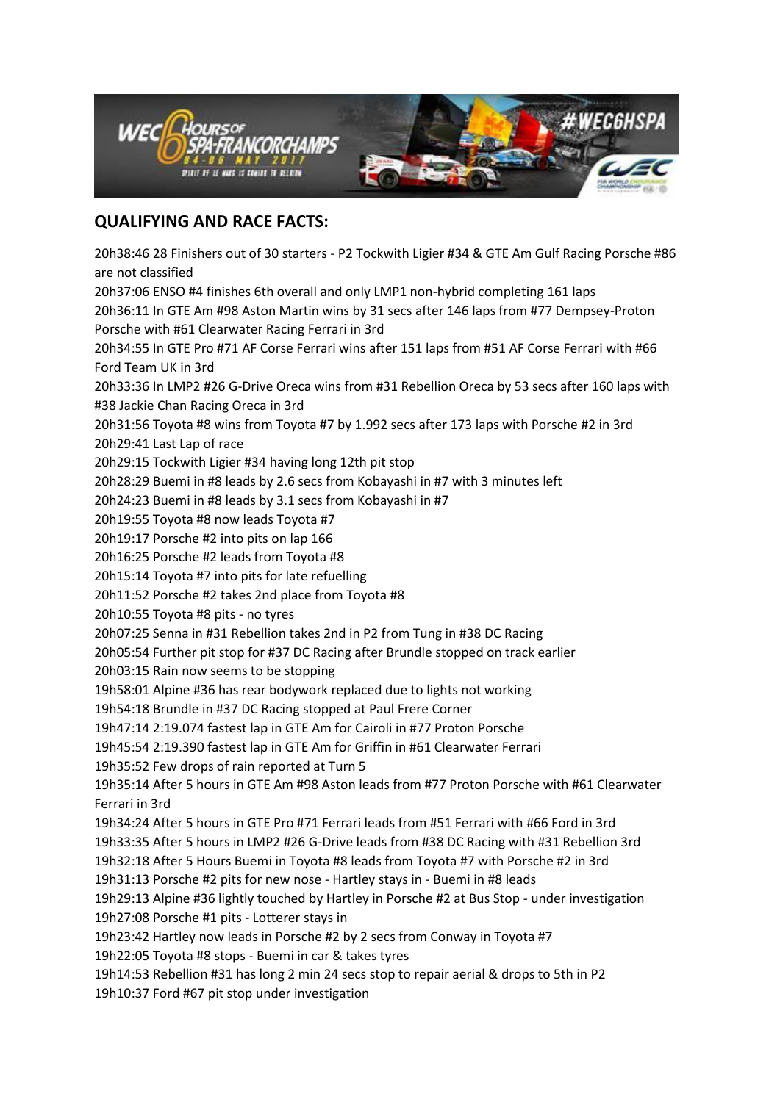

## **QUALIFYING AND RACE FACTS:**

20h38:46 28 Finishers out of 30 starters - P2 Tockwith Ligier #34 & GTE Am Gulf Racing Porsche #86 are not classified 20h37:06 ENSO #4 finishes 6th overall and only LMP1 non-hybrid completing 161 laps 20h36:11 In GTE Am #98 Aston Martin wins by 31 secs after 146 laps from #77 Dempsey-Proton Porsche with #61 Clearwater Racing Ferrari in 3rd 20h34:55 In GTE Pro #71 AF Corse Ferrari wins after 151 laps from #51 AF Corse Ferrari with #66 Ford Team UK in 3rd 20h33:36 In LMP2 #26 G-Drive Oreca wins from #31 Rebellion Oreca by 53 secs after 160 laps with #38 Jackie Chan Racing Oreca in 3rd 20h31:56 Toyota #8 wins from Toyota #7 by 1.992 secs after 173 laps with Porsche #2 in 3rd 20h29:41 Last Lap of race 20h29:15 Tockwith Ligier #34 having long 12th pit stop 20h28:29 Buemi in #8 leads by 2.6 secs from Kobayashi in #7 with 3 minutes left 20h24:23 Buemi in #8 leads by 3.1 secs from Kobayashi in #7 20h19:55 Toyota #8 now leads Toyota #7 20h19:17 Porsche #2 into pits on lap 166 20h16:25 Porsche #2 leads from Toyota #8 20h15:14 Toyota #7 into pits for late refuelling 20h11:52 Porsche #2 takes 2nd place from Toyota #8 20h10:55 Toyota #8 pits - no tyres 20h07:25 Senna in #31 Rebellion takes 2nd in P2 from Tung in #38 DC Racing 20h05:54 Further pit stop for #37 DC Racing after Brundle stopped on track earlier 20h03:15 Rain now seems to be stopping 19h58:01 Alpine #36 has rear bodywork replaced due to lights not working 19h54:18 Brundle in #37 DC Racing stopped at Paul Frere Corner 19h47:14 2:19.074 fastest lap in GTE Am for Cairoli in #77 Proton Porsche 19h45:54 2:19.390 fastest lap in GTE Am for Griffin in #61 Clearwater Ferrari 19h35:52 Few drops of rain reported at Turn 5 19h35:14 After 5 hours in GTE Am #98 Aston leads from #77 Proton Porsche with #61 Clearwater Ferrari in 3rd 19h34:24 After 5 hours in GTE Pro #71 Ferrari leads from #51 Ferrari with #66 Ford in 3rd 19h33:35 After 5 hours in LMP2 #26 G-Drive leads from #38 DC Racing with #31 Rebellion 3rd 19h32:18 After 5 Hours Buemi in Toyota #8 leads from Toyota #7 with Porsche #2 in 3rd 19h31:13 Porsche #2 pits for new nose - Hartley stays in - Buemi in #8 leads 19h29:13 Alpine #36 lightly touched by Hartley in Porsche #2 at Bus Stop - under investigation 19h27:08 Porsche #1 pits - Lotterer stays in 19h23:42 Hartley now leads in Porsche #2 by 2 secs from Conway in Toyota #7 19h22:05 Toyota #8 stops - Buemi in car & takes tyres 19h14:53 Rebellion #31 has long 2 min 24 secs stop to repair aerial & drops to 5th in P2 19h10:37 Ford #67 pit stop under investigation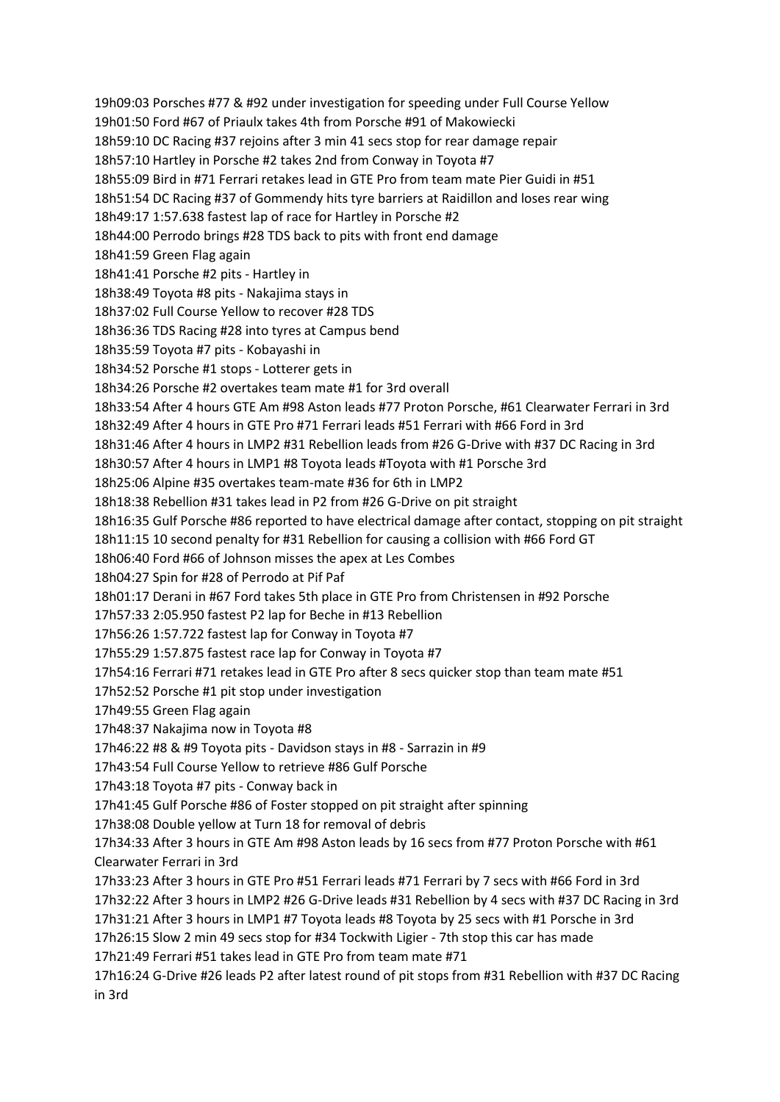19h09:03 Porsches #77 & #92 under investigation for speeding under Full Course Yellow 19h01:50 Ford #67 of Priaulx takes 4th from Porsche #91 of Makowiecki 18h59:10 DC Racing #37 rejoins after 3 min 41 secs stop for rear damage repair 18h57:10 Hartley in Porsche #2 takes 2nd from Conway in Toyota #7 18h55:09 Bird in #71 Ferrari retakes lead in GTE Pro from team mate Pier Guidi in #51 18h51:54 DC Racing #37 of Gommendy hits tyre barriers at Raidillon and loses rear wing 18h49:17 1:57.638 fastest lap of race for Hartley in Porsche #2 18h44:00 Perrodo brings #28 TDS back to pits with front end damage 18h41:59 Green Flag again 18h41:41 Porsche #2 pits - Hartley in 18h38:49 Toyota #8 pits - Nakajima stays in 18h37:02 Full Course Yellow to recover #28 TDS 18h36:36 TDS Racing #28 into tyres at Campus bend 18h35:59 Toyota #7 pits - Kobayashi in 18h34:52 Porsche #1 stops - Lotterer gets in 18h34:26 Porsche #2 overtakes team mate #1 for 3rd overall 18h33:54 After 4 hours GTE Am #98 Aston leads #77 Proton Porsche, #61 Clearwater Ferrari in 3rd 18h32:49 After 4 hours in GTE Pro #71 Ferrari leads #51 Ferrari with #66 Ford in 3rd 18h31:46 After 4 hours in LMP2 #31 Rebellion leads from #26 G-Drive with #37 DC Racing in 3rd 18h30:57 After 4 hours in LMP1 #8 Toyota leads #Toyota with #1 Porsche 3rd 18h25:06 Alpine #35 overtakes team-mate #36 for 6th in LMP2 18h18:38 Rebellion #31 takes lead in P2 from #26 G-Drive on pit straight 18h16:35 Gulf Porsche #86 reported to have electrical damage after contact, stopping on pit straight 18h11:15 10 second penalty for #31 Rebellion for causing a collision with #66 Ford GT 18h06:40 Ford #66 of Johnson misses the apex at Les Combes 18h04:27 Spin for #28 of Perrodo at Pif Paf 18h01:17 Derani in #67 Ford takes 5th place in GTE Pro from Christensen in #92 Porsche 17h57:33 2:05.950 fastest P2 lap for Beche in #13 Rebellion 17h56:26 1:57.722 fastest lap for Conway in Toyota #7 17h55:29 1:57.875 fastest race lap for Conway in Toyota #7 17h54:16 Ferrari #71 retakes lead in GTE Pro after 8 secs quicker stop than team mate #51 17h52:52 Porsche #1 pit stop under investigation 17h49:55 Green Flag again 17h48:37 Nakajima now in Toyota #8 17h46:22 #8 & #9 Toyota pits - Davidson stays in #8 - Sarrazin in #9 17h43:54 Full Course Yellow to retrieve #86 Gulf Porsche 17h43:18 Toyota #7 pits - Conway back in 17h41:45 Gulf Porsche #86 of Foster stopped on pit straight after spinning 17h38:08 Double yellow at Turn 18 for removal of debris 17h34:33 After 3 hours in GTE Am #98 Aston leads by 16 secs from #77 Proton Porsche with #61 Clearwater Ferrari in 3rd 17h33:23 After 3 hours in GTE Pro #51 Ferrari leads #71 Ferrari by 7 secs with #66 Ford in 3rd 17h32:22 After 3 hours in LMP2 #26 G-Drive leads #31 Rebellion by 4 secs with #37 DC Racing in 3rd 17h31:21 After 3 hours in LMP1 #7 Toyota leads #8 Toyota by 25 secs with #1 Porsche in 3rd 17h26:15 Slow 2 min 49 secs stop for #34 Tockwith Ligier - 7th stop this car has made 17h21:49 Ferrari #51 takes lead in GTE Pro from team mate #71 17h16:24 G-Drive #26 leads P2 after latest round of pit stops from #31 Rebellion with #37 DC Racing in 3rd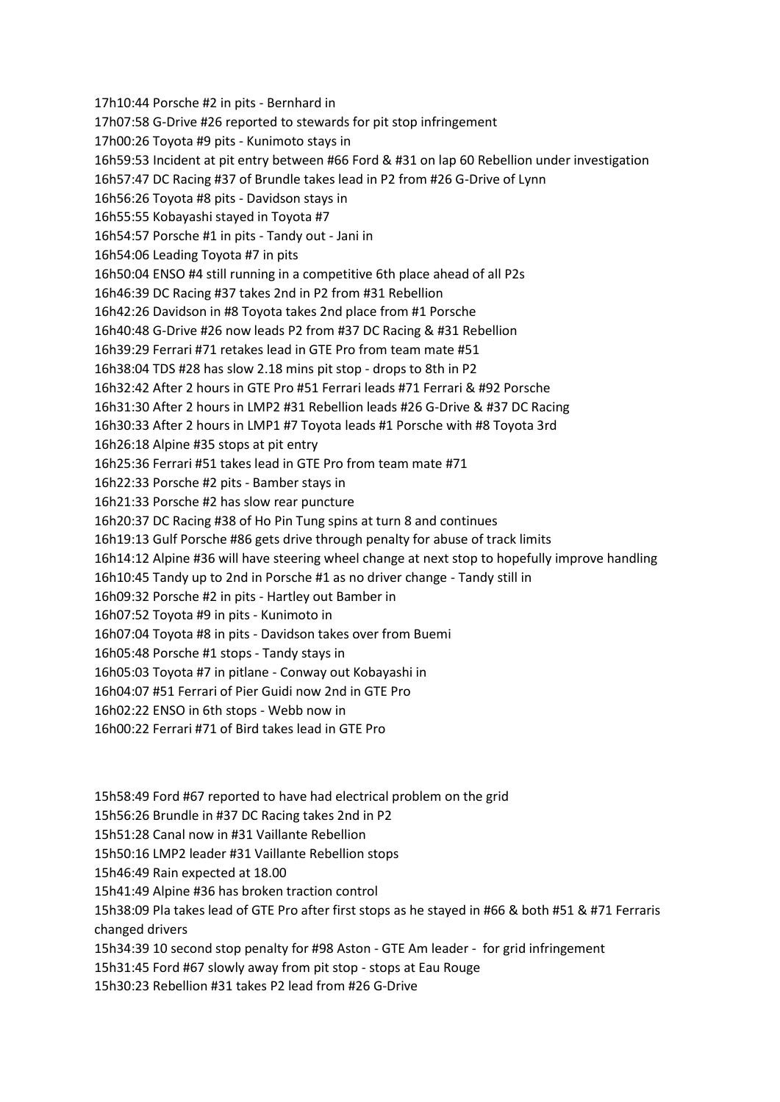17h10:44 Porsche #2 in pits - Bernhard in 17h07:58 G-Drive #26 reported to stewards for pit stop infringement 17h00:26 Toyota #9 pits - Kunimoto stays in 16h59:53 Incident at pit entry between #66 Ford & #31 on lap 60 Rebellion under investigation 16h57:47 DC Racing #37 of Brundle takes lead in P2 from #26 G-Drive of Lynn 16h56:26 Toyota #8 pits - Davidson stays in 16h55:55 Kobayashi stayed in Toyota #7 16h54:57 Porsche #1 in pits - Tandy out - Jani in 16h54:06 Leading Toyota #7 in pits 16h50:04 ENSO #4 still running in a competitive 6th place ahead of all P2s 16h46:39 DC Racing #37 takes 2nd in P2 from #31 Rebellion 16h42:26 Davidson in #8 Toyota takes 2nd place from #1 Porsche 16h40:48 G-Drive #26 now leads P2 from #37 DC Racing & #31 Rebellion 16h39:29 Ferrari #71 retakes lead in GTE Pro from team mate #51 16h38:04 TDS #28 has slow 2.18 mins pit stop - drops to 8th in P2 16h32:42 After 2 hours in GTE Pro #51 Ferrari leads #71 Ferrari & #92 Porsche 16h31:30 After 2 hours in LMP2 #31 Rebellion leads #26 G-Drive & #37 DC Racing 16h30:33 After 2 hours in LMP1 #7 Toyota leads #1 Porsche with #8 Toyota 3rd 16h26:18 Alpine #35 stops at pit entry 16h25:36 Ferrari #51 takes lead in GTE Pro from team mate #71 16h22:33 Porsche #2 pits - Bamber stays in 16h21:33 Porsche #2 has slow rear puncture 16h20:37 DC Racing #38 of Ho Pin Tung spins at turn 8 and continues 16h19:13 Gulf Porsche #86 gets drive through penalty for abuse of track limits 16h14:12 Alpine #36 will have steering wheel change at next stop to hopefully improve handling 16h10:45 Tandy up to 2nd in Porsche #1 as no driver change - Tandy still in 16h09:32 Porsche #2 in pits - Hartley out Bamber in 16h07:52 Toyota #9 in pits - Kunimoto in 16h07:04 Toyota #8 in pits - Davidson takes over from Buemi 16h05:48 Porsche #1 stops - Tandy stays in 16h05:03 Toyota #7 in pitlane - Conway out Kobayashi in 16h04:07 #51 Ferrari of Pier Guidi now 2nd in GTE Pro 16h02:22 ENSO in 6th stops - Webb now in 16h00:22 Ferrari #71 of Bird takes lead in GTE Pro

15h58:49 Ford #67 reported to have had electrical problem on the grid

15h56:26 Brundle in #37 DC Racing takes 2nd in P2

15h51:28 Canal now in #31 Vaillante Rebellion

15h50:16 LMP2 leader #31 Vaillante Rebellion stops

15h46:49 Rain expected at 18.00

15h41:49 Alpine #36 has broken traction control

15h38:09 Pla takes lead of GTE Pro after first stops as he stayed in #66 & both #51 & #71 Ferraris changed drivers

15h34:39 10 second stop penalty for #98 Aston - GTE Am leader - for grid infringement

15h31:45 Ford #67 slowly away from pit stop - stops at Eau Rouge

15h30:23 Rebellion #31 takes P2 lead from #26 G-Drive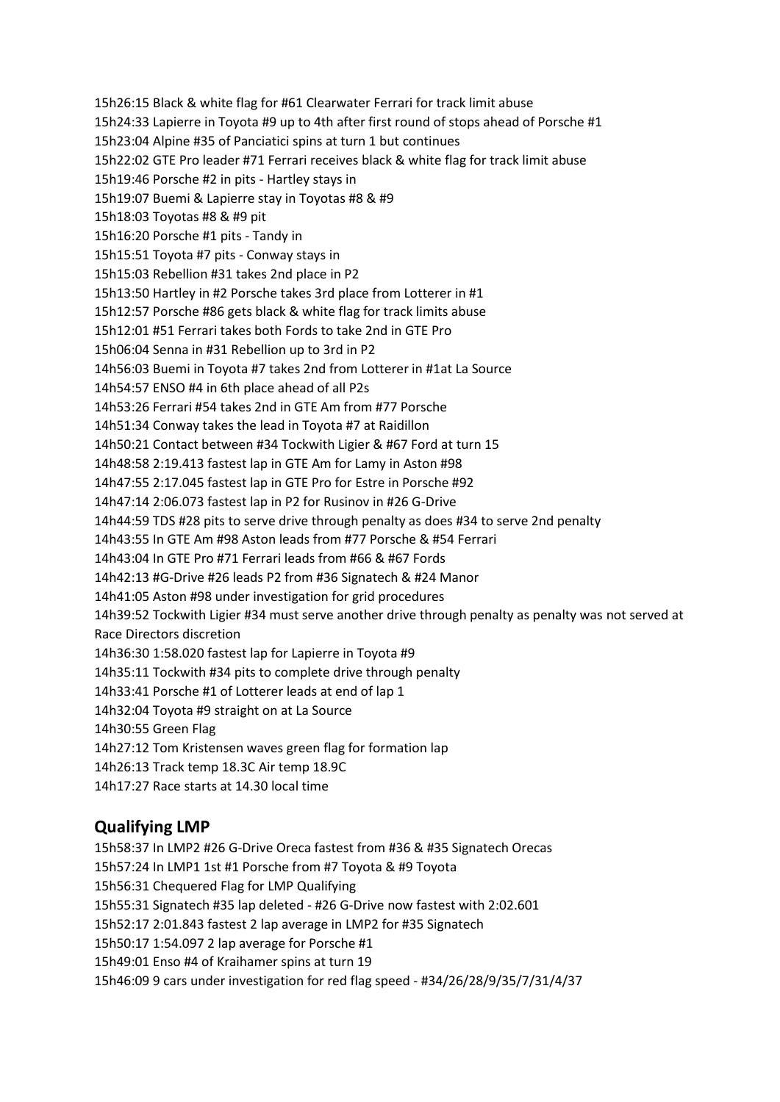15h26:15 Black & white flag for #61 Clearwater Ferrari for track limit abuse 15h24:33 Lapierre in Toyota #9 up to 4th after first round of stops ahead of Porsche #1 15h23:04 Alpine #35 of Panciatici spins at turn 1 but continues 15h22:02 GTE Pro leader #71 Ferrari receives black & white flag for track limit abuse 15h19:46 Porsche #2 in pits - Hartley stays in 15h19:07 Buemi & Lapierre stay in Toyotas #8 & #9 15h18:03 Toyotas #8 & #9 pit 15h16:20 Porsche #1 pits - Tandy in 15h15:51 Toyota #7 pits - Conway stays in 15h15:03 Rebellion #31 takes 2nd place in P2 15h13:50 Hartley in #2 Porsche takes 3rd place from Lotterer in #1 15h12:57 Porsche #86 gets black & white flag for track limits abuse 15h12:01 #51 Ferrari takes both Fords to take 2nd in GTE Pro 15h06:04 Senna in #31 Rebellion up to 3rd in P2 14h56:03 Buemi in Toyota #7 takes 2nd from Lotterer in #1at La Source 14h54:57 ENSO #4 in 6th place ahead of all P2s 14h53:26 Ferrari #54 takes 2nd in GTE Am from #77 Porsche 14h51:34 Conway takes the lead in Toyota #7 at Raidillon 14h50:21 Contact between #34 Tockwith Ligier & #67 Ford at turn 15 14h48:58 2:19.413 fastest lap in GTE Am for Lamy in Aston #98 14h47:55 2:17.045 fastest lap in GTE Pro for Estre in Porsche #92 14h47:14 2:06.073 fastest lap in P2 for Rusinov in #26 G-Drive 14h44:59 TDS #28 pits to serve drive through penalty as does #34 to serve 2nd penalty 14h43:55 In GTE Am #98 Aston leads from #77 Porsche & #54 Ferrari 14h43:04 In GTE Pro #71 Ferrari leads from #66 & #67 Fords 14h42:13 #G-Drive #26 leads P2 from #36 Signatech & #24 Manor 14h41:05 Aston #98 under investigation for grid procedures 14h39:52 Tockwith Ligier #34 must serve another drive through penalty as penalty was not served at Race Directors discretion 14h36:30 1:58.020 fastest lap for Lapierre in Toyota #9 14h35:11 Tockwith #34 pits to complete drive through penalty 14h33:41 Porsche #1 of Lotterer leads at end of lap 1 14h32:04 Toyota #9 straight on at La Source 14h30:55 Green Flag 14h27:12 Tom Kristensen waves green flag for formation lap 14h26:13 Track temp 18.3C Air temp 18.9C

## 14h17:27 Race starts at 14.30 local time

## **Qualifying LMP**

15h58:37 In LMP2 #26 G-Drive Oreca fastest from #36 & #35 Signatech Orecas 15h57:24 In LMP1 1st #1 Porsche from #7 Toyota & #9 Toyota 15h56:31 Chequered Flag for LMP Qualifying 15h55:31 Signatech #35 lap deleted - #26 G-Drive now fastest with 2:02.601 15h52:17 2:01.843 fastest 2 lap average in LMP2 for #35 Signatech 15h50:17 1:54.097 2 lap average for Porsche #1 15h49:01 Enso #4 of Kraihamer spins at turn 19 15h46:09 9 cars under investigation for red flag speed - #34/26/28/9/35/7/31/4/37